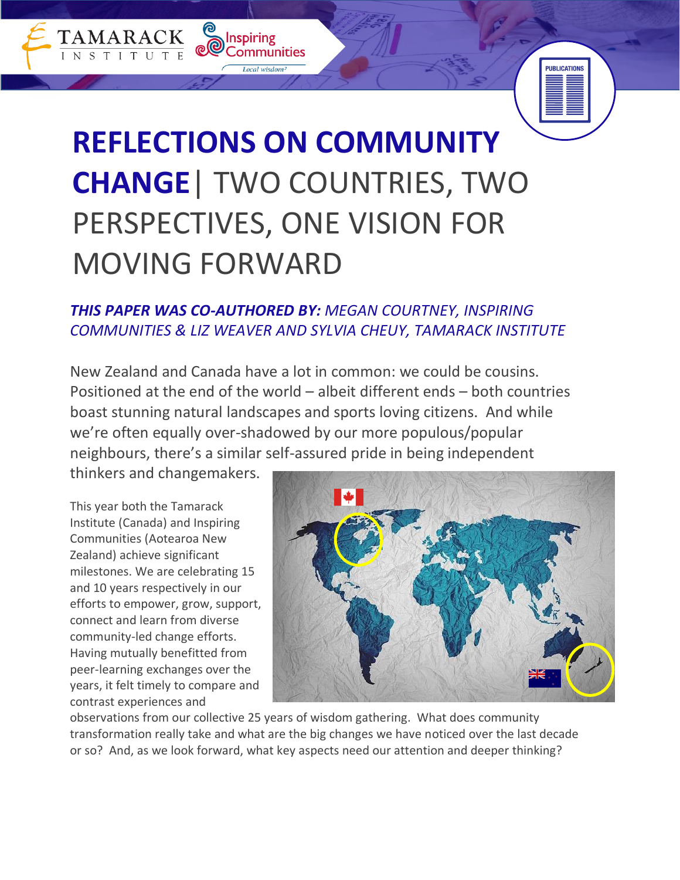# **REFLECTIONS ON COMMUNITY CHANGE**| TWO COUNTRIES, TWO PERSPECTIVES, ONE VISION FOR MOVING FORWARD

**O** Inspiring

Communities

Local wisdom

TAMARACK

# *THIS PAPER WAS CO-AUTHORED BY: MEGAN COURTNEY, INSPIRING COMMUNITIES & LIZ WEAVER AND SYLVIA CHEUY, TAMARACK INSTITUTE*

New Zealand and Canada have a lot in common: we could be cousins. Positioned at the end of the world – albeit different ends – both countries boast stunning natural landscapes and sports loving citizens. And while we're often equally over-shadowed by our more populous/popular neighbours, there's a similar self-assured pride in being independent

thinkers and changemakers.

This year both the Tamarack Institute (Canada) and Inspiring Communities (Aotearoa New Zealand) achieve significant milestones. We are celebrating 15 and 10 years respectively in our efforts to empower, grow, support, connect and learn from diverse community-led change efforts. Having mutually benefitted from peer-learning exchanges over the years, it felt timely to compare and contrast experiences and



**PUBLICATIONS** 

observations from our collective 25 years of wisdom gathering. What does community transformation really take and what are the big changes we have noticed over the last decade or so? And, as we look forward, what key aspects need our attention and deeper thinking?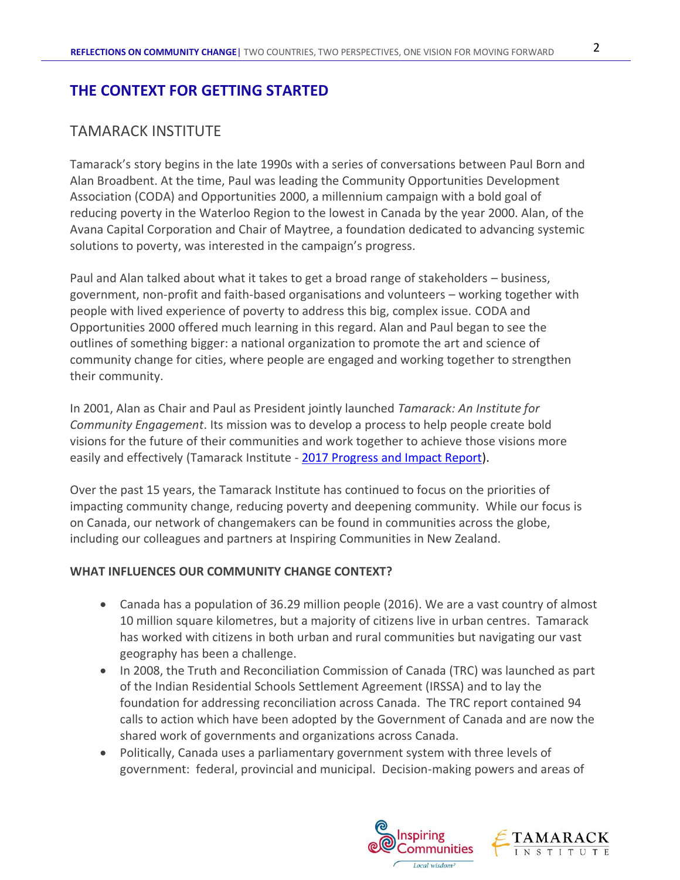## **THE CONTEXT FOR GETTING STARTED**

## TAMARACK INSTITUTE

Tamarack's story begins in the late 1990s with a series of conversations between Paul Born and Alan Broadbent. At the time, Paul was leading the Community Opportunities Development Association (CODA) and Opportunities 2000, a millennium campaign with a bold goal of reducing poverty in the Waterloo Region to the lowest in Canada by the year 2000. Alan, of the Avana Capital Corporation and Chair of Maytree, a foundation dedicated to advancing systemic solutions to poverty, was interested in the campaign's progress.

Paul and Alan talked about what it takes to get a broad range of stakeholders – business, government, non-profit and faith-based organisations and volunteers – working together with people with lived experience of poverty to address this big, complex issue. CODA and Opportunities 2000 offered much learning in this regard. Alan and Paul began to see the outlines of something bigger: a national organization to promote the art and science of community change for cities, where people are engaged and working together to strengthen their community.

In 2001, Alan as Chair and Paul as President jointly launched *Tamarack: An Institute for Community Engagement*. Its mission was to develop a process to help people create bold visions for the future of their communities and work together to achieve those visions more easily and effectively (Tamarack Institute - [2017 Progress and Impact Report\)](https://www.tamarackcommunity.ca/whoweare#AR).

Over the past 15 years, the Tamarack Institute has continued to focus on the priorities of impacting community change, reducing poverty and deepening community. While our focus is on Canada, our network of changemakers can be found in communities across the globe, including our colleagues and partners at Inspiring Communities in New Zealand.

#### **WHAT INFLUENCES OUR COMMUNITY CHANGE CONTEXT?**

- Canada has a population of 36.29 million people (2016). We are a vast country of almost 10 million square kilometres, but a majority of citizens live in urban centres. Tamarack has worked with citizens in both urban and rural communities but navigating our vast geography has been a challenge.
- In 2008, the Truth and Reconciliation Commission of Canada (TRC) was launched as part of the Indian Residential Schools Settlement Agreement (IRSSA) and to lay the foundation for addressing reconciliation across Canada. The TRC report contained 94 calls to action which have been adopted by the Government of Canada and are now the shared work of governments and organizations across Canada.
- Politically, Canada uses a parliamentary government system with three levels of government: federal, provincial and municipal. Decision-making powers and areas of

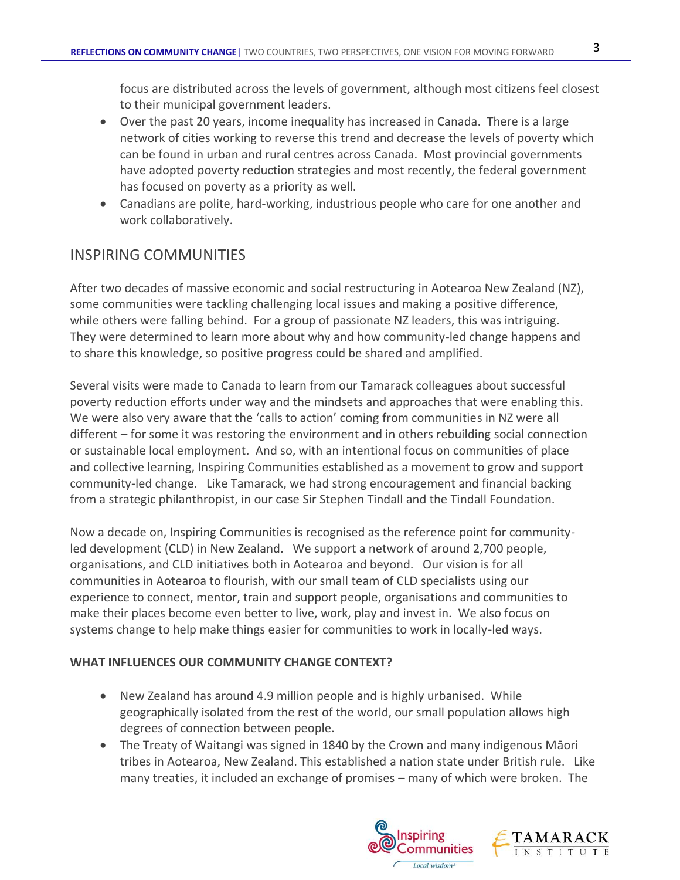focus are distributed across the levels of government, although most citizens feel closest to their municipal government leaders.

- Over the past 20 years, income inequality has increased in Canada. There is a large network of cities working to reverse this trend and decrease the levels of poverty which can be found in urban and rural centres across Canada. Most provincial governments have adopted poverty reduction strategies and most recently, the federal government has focused on poverty as a priority as well.
- Canadians are polite, hard-working, industrious people who care for one another and work collaboratively.

# INSPIRING COMMUNITIES

After two decades of massive economic and social restructuring in Aotearoa New Zealand (NZ), some communities were tackling challenging local issues and making a positive difference, while others were falling behind. For a group of passionate NZ leaders, this was intriguing. They were determined to learn more about why and how community-led change happens and to share this knowledge, so positive progress could be shared and amplified.

Several visits were made to Canada to learn from our Tamarack colleagues about successful poverty reduction efforts under way and the mindsets and approaches that were enabling this. We were also very aware that the 'calls to action' coming from communities in NZ were all different – for some it was restoring the environment and in others rebuilding social connection or sustainable local employment. And so, with an intentional focus on communities of place and collective learning, Inspiring Communities established as a movement to grow and support community-led change. Like Tamarack, we had strong encouragement and financial backing from a strategic philanthropist, in our case Sir Stephen Tindall and the Tindall Foundation.

Now a decade on, Inspiring Communities is recognised as the reference point for communityled development (CLD) in New Zealand. We support a network of around 2,700 people, organisations, and CLD initiatives both in Aotearoa and beyond. Our vision is for all communities in Aotearoa to flourish, with our small team of CLD specialists using our experience to connect, mentor, train and support people, organisations and communities to make their places become even better to live, work, play and invest in. We also focus on systems change to help make things easier for communities to work in locally-led ways.

## **WHAT INFLUENCES OUR COMMUNITY CHANGE CONTEXT?**

- New Zealand has around 4.9 million people and is highly urbanised. While geographically isolated from the rest of the world, our small population allows high degrees of connection between people.
- The Treaty of Waitangi was signed in 1840 by the Crown and many indigenous Māori tribes in Aotearoa, New Zealand. This established a nation state under British rule. Like many treaties, it included an exchange of promises – many of which were broken. The

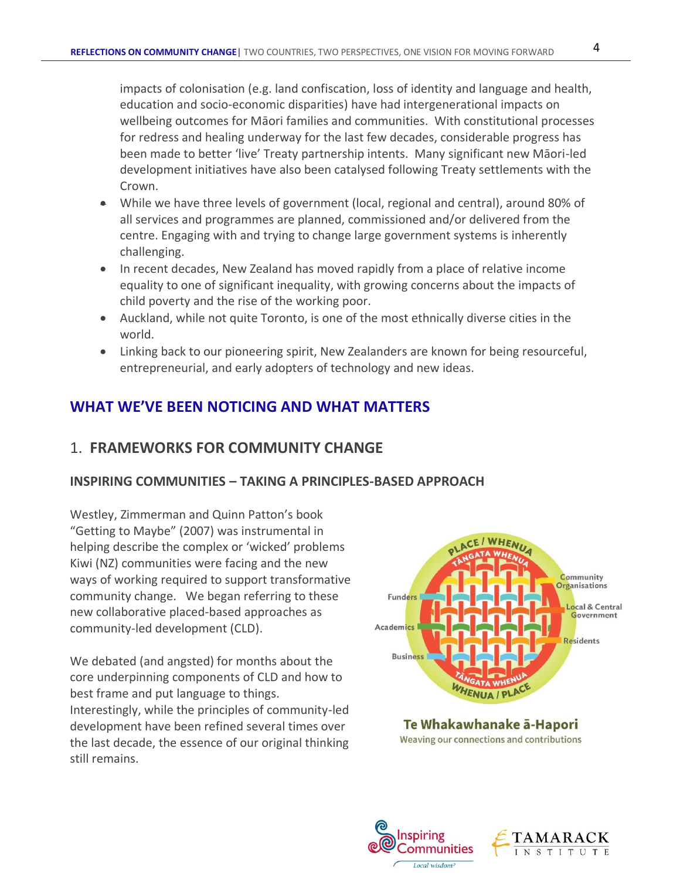impacts of colonisation (e.g. land confiscation, loss of identity and language and health, education and socio-economic disparities) have had intergenerational impacts on wellbeing outcomes for Māori families and communities. With constitutional processes for redress and healing underway for the last few decades, considerable progress has been made to better 'live' Treaty partnership intents. Many significant new Māori-led development initiatives have also been catalysed following Treaty settlements with the Crown.

- While we have three levels of government (local, regional and central), around 80% of all services and programmes are planned, commissioned and/or delivered from the centre. Engaging with and trying to change large government systems is inherently challenging.
- In recent decades, New Zealand has moved rapidly from a place of relative income equality to one of significant inequality, with growing concerns about the impacts of child poverty and the rise of the working poor.
- Auckland, while not quite Toronto, is one of the most ethnically diverse cities in the world.
- Linking back to our pioneering spirit, New Zealanders are known for being resourceful, entrepreneurial, and early adopters of technology and new ideas.

# **WHAT WE'VE BEEN NOTICING AND WHAT MATTERS**

# 1. **FRAMEWORKS FOR COMMUNITY CHANGE**

## **INSPIRING COMMUNITIES – TAKING A PRINCIPLES-BASED APPROACH**

Westley, Zimmerman and Quinn Patton's book "Getting to Maybe" (2007) was instrumental in helping describe the complex or 'wicked' problems Kiwi (NZ) communities were facing and the new ways of working required to support transformative community change. We began referring to these new collaborative placed-based approaches as community-led development (CLD).

We debated (and angsted) for months about the core underpinning components of CLD and how to best frame and put language to things. Interestingly, while the principles of community-led development have been refined several times over the last decade, the essence of our original thinking still remains.



Te Whakawhanake ā-Hapori Weaving our connections and contributions



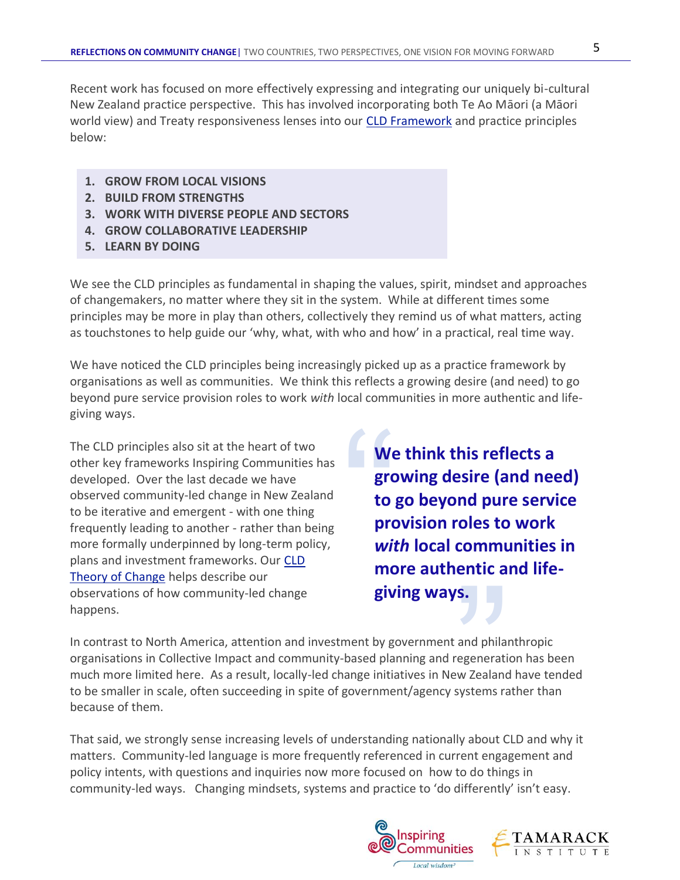Recent work has focused on more effectively expressing and integrating our uniquely bi-cultural New Zealand practice perspective. This has involved incorporating both Te Ao Māori (a Māori world view) and Treaty responsiveness lenses into our [CLD Framework](http://inspiringcommunities.org.nz/wp-content/uploads/2015/12/CLD-framing-and-principles-aug-2018-FULL.pdf) and practice principles below:

- **1. GROW FROM LOCAL VISIONS**
- **2. BUILD FROM STRENGTHS**
- **3. WORK WITH DIVERSE PEOPLE AND SECTORS**
- **4. GROW COLLABORATIVE LEADERSHIP**
- **5. LEARN BY DOING**

We see the CLD principles as fundamental in shaping the values, spirit, mindset and approaches of changemakers, no matter where they sit in the system. While at different times some principles may be more in play than others, collectively they remind us of what matters, acting as touchstones to help guide our 'why, what, with who and how' in a practical, real time way.

We have noticed the CLD principles being increasingly picked up as a practice framework by organisations as well as communities. We think this reflects a growing desire (and need) to go beyond pure service provision roles to work *with* local communities in more authentic and lifegiving ways.

The CLD principles also sit at the heart of two other key frameworks Inspiring Communities has developed. Over the last decade we have observed community-led change in New Zealand to be iterative and emergent - with one thing frequently leading to another - rather than being more formally underpinned by long-term policy, plans and investment frameworks. Our CLD [Theory of Change](http://inspiringcommunities.org.nz/wp-content/uploads/2017/06/CLD-Theory-of-Change-Diagram-with-explanation-2018.pdf) helps describe our observations of how community-led change happens.

We gro<br>gro<br>to <sub>{</sub><br>prc<br>wit<br>mo **We think this reflects a growing desire (and need) to go beyond pure service provision roles to work**  *with* **local communities in more authentic and lifegiving ways.**

**S.**<br>and philar<br>regeneration<br>w Zealand<br>systems ra In contrast to North America, attention and investment by government and philanthropic organisations in Collective Impact and community-based planning and regeneration has been much more limited here. As a result, locally-led change initiatives in New Zealand have tended to be smaller in scale, often succeeding in spite of government/agency systems rather than because of them.

That said, we strongly sense increasing levels of understanding nationally about CLD and why it matters. Community-led language is more frequently referenced in current engagement and policy intents, with questions and inquiries now more focused on how to do things in community-led ways. Changing mindsets, systems and practice to 'do differently' isn't easy.



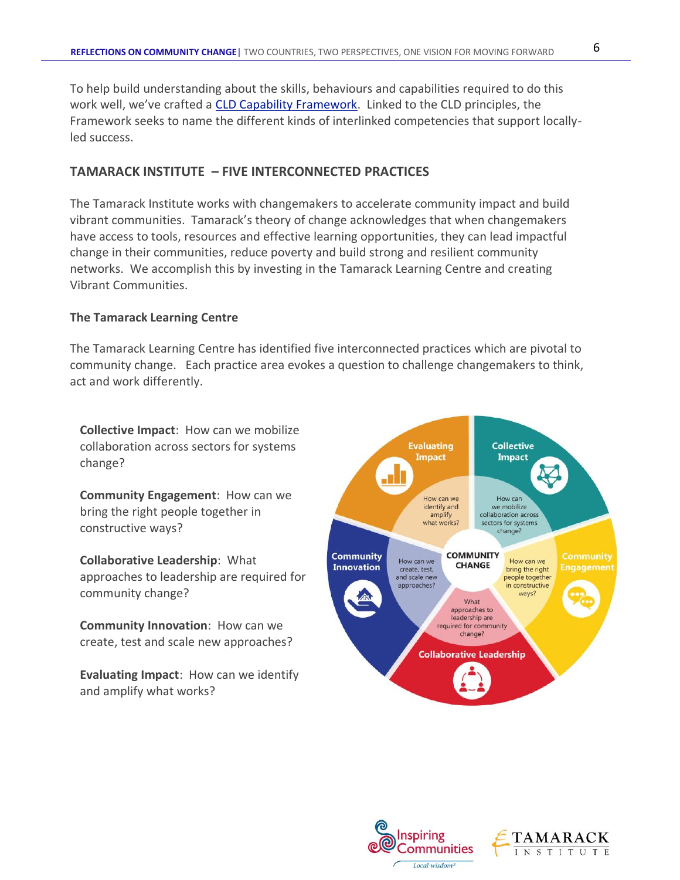To help build understanding about the skills, behaviours and capabilities required to do this work well, we've crafted a [CLD Capability Framework.](http://inspiringcommunities.org.nz/the-capability-framework/) Linked to the CLD principles, the Framework seeks to name the different kinds of interlinked competencies that support locallyled success.

#### **TAMARACK INSTITUTE – FIVE INTERCONNECTED PRACTICES**

The Tamarack Institute works with changemakers to accelerate community impact and build vibrant communities. Tamarack's theory of change acknowledges that when changemakers have access to tools, resources and effective learning opportunities, they can lead impactful change in their communities, reduce poverty and build strong and resilient community networks. We accomplish this by investing in the Tamarack Learning Centre and creating Vibrant Communities.

#### **The Tamarack Learning Centre**

The Tamarack Learning Centre has identified five interconnected practices which are pivotal to community change. Each practice area evokes a question to challenge changemakers to think, act and work differently.

**Collective Impact**: How can we mobilize collaboration across sectors for systems change?

**Community Engagement**: How can we bring the right people together in constructive ways?

**Collaborative Leadership**: What approaches to leadership are required for community change?

**Community Innovation**: How can we create, test and scale new approaches?

**Evaluating Impact**: How can we identify and amplify what works?



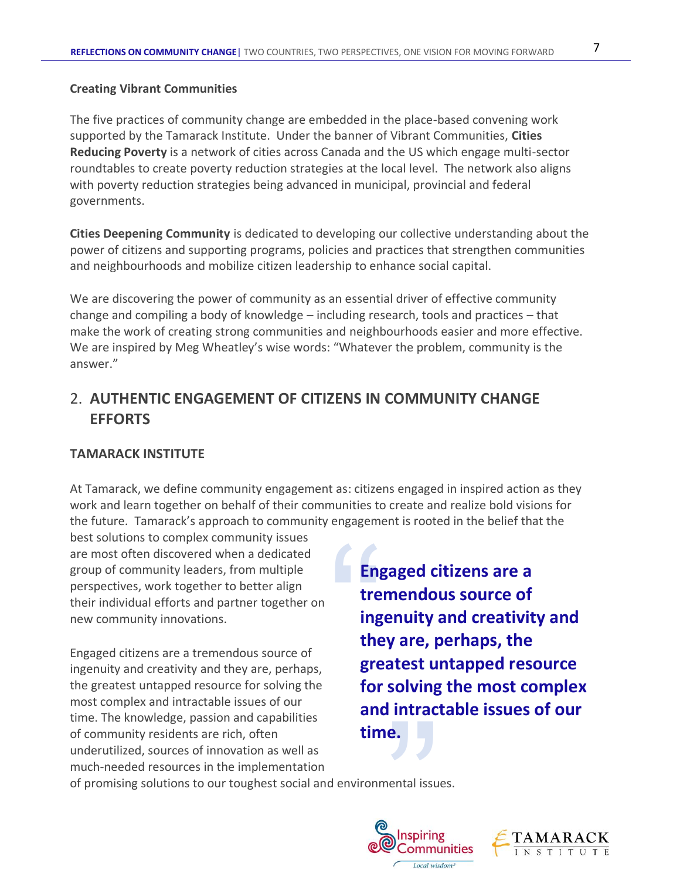#### **Creating Vibrant Communities**

The five practices of community change are embedded in the place-based convening work supported by the Tamarack Institute. Under the banner of Vibrant Communities, **Cities Reducing Poverty** is a network of cities across Canada and the US which engage multi-sector roundtables to create poverty reduction strategies at the local level. The network also aligns with poverty reduction strategies being advanced in municipal, provincial and federal governments.

**Cities Deepening Community** is dedicated to developing our collective understanding about the power of citizens and supporting programs, policies and practices that strengthen communities and neighbourhoods and mobilize citizen leadership to enhance social capital.

We are discovering the power of community as an essential driver of effective community change and compiling a body of knowledge – including research, tools and practices – that make the work of creating strong communities and neighbourhoods easier and more effective. We are inspired by Meg Wheatley's wise words: "Whatever the problem, community is the answer."

# 2. **AUTHENTIC ENGAGEMENT OF CITIZENS IN COMMUNITY CHANGE EFFORTS**

#### **TAMARACK INSTITUTE**

At Tamarack, we define community engagement as: citizens engaged in inspired action as they work and learn together on behalf of their communities to create and realize bold visions for the future. Tamarack's approach to community engagement is rooted in the belief that the

best solutions to complex community issues are most often discovered when a dedicated group of community leaders, from multiple perspectives, work together to better align their individual efforts and partner together on new community innovations.

Engaged citizens are a tremendous source of ingenuity and creativity and they are, perhaps, the greatest untapped resource for solving the most complex and intractable issues of our time. The knowledge, passion and capabilities of community residents are rich, often underutilized, sources of innovation as well as much-needed resources in the implementation

Eng<br>tre<br>ing<br>the<br>gre<br>for **Engaged citizens are a tremendous source of ingenuity and creativity and they are, perhaps, the greatest untapped resource for solving the most complex and intractable issues of our time.**

of promising solutions to our toughest social and environmental issues.



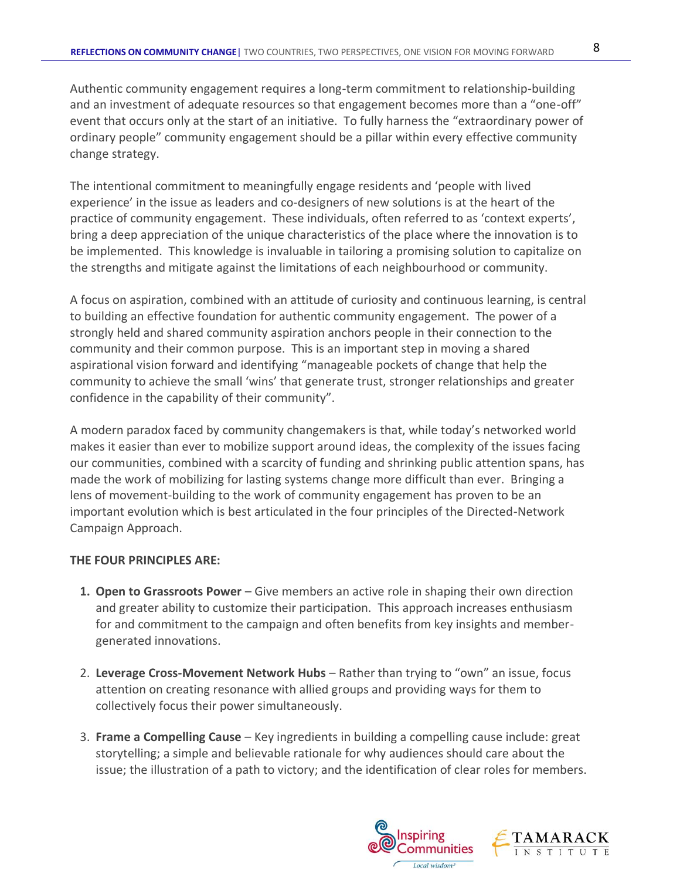Authentic community engagement requires a long-term commitment to relationship-building and an investment of adequate resources so that engagement becomes more than a "one-off" event that occurs only at the start of an initiative. To fully harness the "extraordinary power of ordinary people" community engagement should be a pillar within every effective community change strategy.

The intentional commitment to meaningfully engage residents and 'people with lived experience' in the issue as leaders and co-designers of new solutions is at the heart of the practice of community engagement. These individuals, often referred to as 'context experts', bring a deep appreciation of the unique characteristics of the place where the innovation is to be implemented. This knowledge is invaluable in tailoring a promising solution to capitalize on the strengths and mitigate against the limitations of each neighbourhood or community.

A focus on aspiration, combined with an attitude of curiosity and continuous learning, is central to building an effective foundation for authentic community engagement. The power of a strongly held and shared community aspiration anchors people in their connection to the community and their common purpose. This is an important step in moving a shared aspirational vision forward and identifying "manageable pockets of change that help the community to achieve the small 'wins' that generate trust, stronger relationships and greater confidence in the capability of their community".

A modern paradox faced by community changemakers is that, while today's networked world makes it easier than ever to mobilize support around ideas, the complexity of the issues facing our communities, combined with a scarcity of funding and shrinking public attention spans, has made the work of mobilizing for lasting systems change more difficult than ever. Bringing a lens of movement-building to the work of community engagement has proven to be an important evolution which is best articulated in the four principles of the Directed-Network Campaign Approach.

#### **THE FOUR PRINCIPLES ARE:**

- **1. Open to Grassroots Power** Give members an active role in shaping their own direction and greater ability to customize their participation. This approach increases enthusiasm for and commitment to the campaign and often benefits from key insights and membergenerated innovations.
- 2. **Leverage Cross-Movement Network Hubs** Rather than trying to "own" an issue, focus attention on creating resonance with allied groups and providing ways for them to collectively focus their power simultaneously.
- 3. **Frame a Compelling Cause** Key ingredients in building a compelling cause include: great storytelling; a simple and believable rationale for why audiences should care about the issue; the illustration of a path to victory; and the identification of clear roles for members.

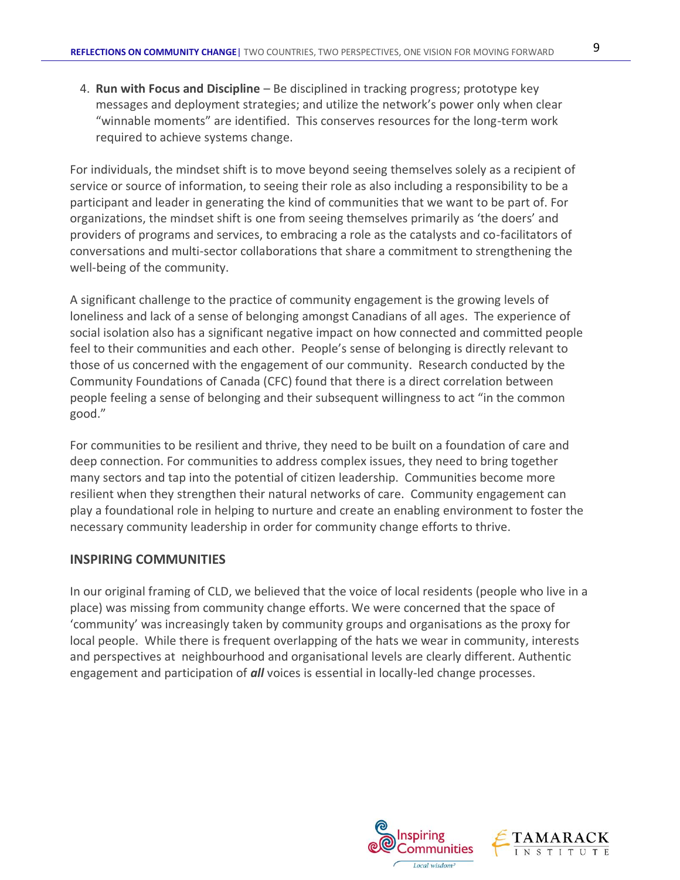4. **Run with Focus and Discipline** – Be disciplined in tracking progress; prototype key messages and deployment strategies; and utilize the network's power only when clear

For individuals, the mindset shift is to move beyond seeing themselves solely as a recipient of service or source of information, to seeing their role as also including a responsibility to be a participant and leader in generating the kind of communities that we want to be part of. For organizations, the mindset shift is one from seeing themselves primarily as 'the doers' and providers of programs and services, to embracing a role as the catalysts and co-facilitators of conversations and multi-sector collaborations that share a commitment to strengthening the well-being of the community.

"winnable moments" are identified. This conserves resources for the long-term work

A significant challenge to the practice of community engagement is the growing levels of loneliness and lack of a sense of belonging amongst Canadians of all ages. The experience of social isolation also has a significant negative impact on how connected and committed people feel to their communities and each other. People's sense of belonging is directly relevant to those of us concerned with the engagement of our community. Research conducted by the Community Foundations of Canada (CFC) found that there is a direct correlation between people feeling a sense of belonging and their subsequent willingness to act "in the common good."

For communities to be resilient and thrive, they need to be built on a foundation of care and deep connection. For communities to address complex issues, they need to bring together many sectors and tap into the potential of citizen leadership. Communities become more resilient when they strengthen their natural networks of care. Community engagement can play a foundational role in helping to nurture and create an enabling environment to foster the necessary community leadership in order for community change efforts to thrive.

#### **INSPIRING COMMUNITIES**

required to achieve systems change.

In our original framing of CLD, we believed that the voice of local residents (people who live in a place) was missing from community change efforts. We were concerned that the space of 'community' was increasingly taken by community groups and organisations as the proxy for local people. While there is frequent overlapping of the hats we wear in community, interests and perspectives at neighbourhood and organisational levels are clearly different. Authentic engagement and participation of *all* voices is essential in locally-led change processes.

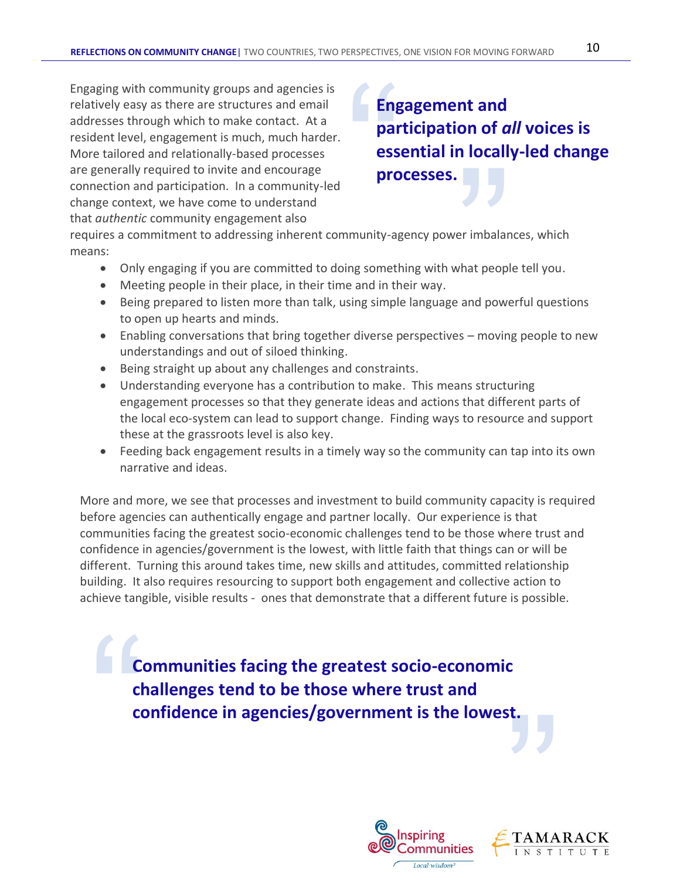Engaging with community groups and agencies is relatively easy as there are structures and email addresses through which to make contact. At a resident level, engagement is much, much harder. More tailored and relationally-based processes are generally required to invite and encourage connection and participation. In a community-led change context, we have come to understand that *authentic* community engagement also

Eng<br>
par<br>
ess<br>
pro **processes.**<br>
Immunity-agency power imbalant in something with what people and in their way.<br>
Sing simple language and power **Engagement and participation of** *all* **voices is essential in locally-led change processes.**

requires a commitment to addressing inherent community-agency power imbalances, which means:

- Only engaging if you are committed to doing something with what people tell you.
- Meeting people in their place, in their time and in their way.
- Being prepared to listen more than talk, using simple language and powerful questions to open up hearts and minds.
- Enabling conversations that bring together diverse perspectives moving people to new understandings and out of siloed thinking.
- Being straight up about any challenges and constraints.
- Understanding everyone has a contribution to make. This means structuring engagement processes so that they generate ideas and actions that different parts of the local eco-system can lead to support change. Finding ways to resource and support these at the grassroots level is also key.
- Feeding back engagement results in a timely way so the community can tap into its own narrative and ideas.

More and more, we see that processes and investment to build community capacity is required before agencies can authentically engage and partner locally. Our experience is that communities facing the greatest socio-economic challenges tend to be those where trust and confidence in agencies/government is the lowest, with little faith that things can or will be different. Turning this around takes time, new skills and attitudes, committed relationship building. It also requires resourcing to support both engagement and collective action to achieve tangible, visible results - ones that demonstrate that a different future is possible.

" confidence in agencies/government is the lowest. **Communities facing the greatest socio-economic challenges tend to be those where trust and confidence in agencies/government is the lowest.** 



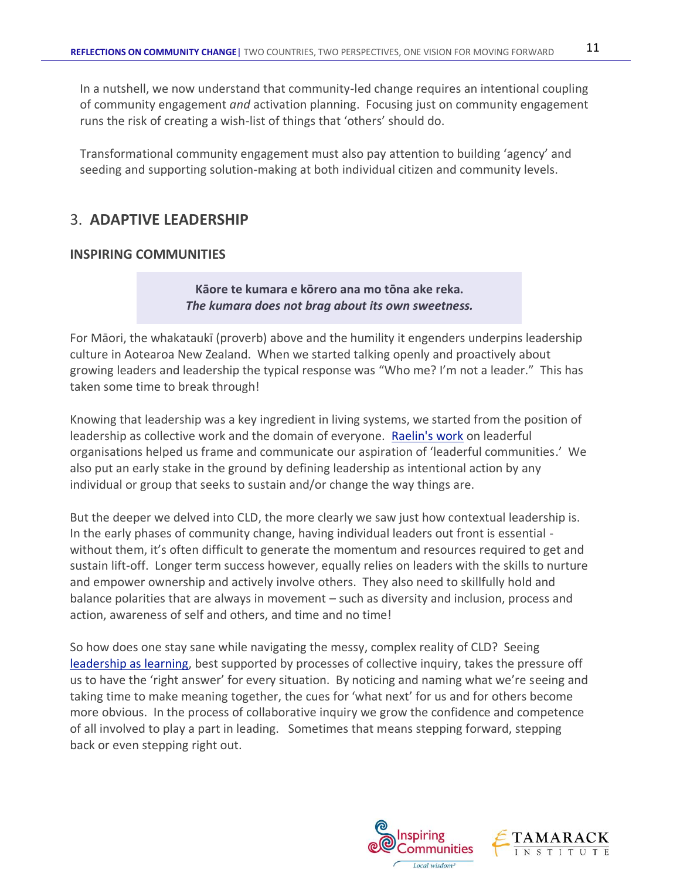In a nutshell, we now understand that community-led change requires an intentional coupling of community engagement *and* activation planning. Focusing just on community engagement runs the risk of creating a wish-list of things that 'others' should do.

Transformational community engagement must also pay attention to building 'agency' and seeding and supporting solution-making at both individual citizen and community levels.

# 3. **ADAPTIVE LEADERSHIP**

## **INSPIRING COMMUNITIES**

**Kāore te kumara e kōrero ana mo tōna ake reka.** *The kumara does not brag about its own sweetness.*

For Māori, the whakataukī (proverb) above and the humility it engenders underpins leadership culture in Aotearoa New Zealand. When we started talking openly and proactively about growing leaders and leadership the typical response was "Who me? I'm not a leader." This has taken some time to break through!

Knowing that leadership was a key ingredient in living systems, we started from the position of leadership as collective work and the domain of everyone. [Raelin's work](http://www.leaderfulconsultancy.com/resources/) on leaderful organisations helped us frame and communicate our aspiration of 'leaderful communities.' We also put an early stake in the ground by defining leadership as intentional action by any individual or group that seeks to sustain and/or change the way things are.

But the deeper we delved into CLD, the more clearly we saw just how contextual leadership is. In the early phases of community change, having individual leaders out front is essential without them, it's often difficult to generate the momentum and resources required to get and sustain lift-off. Longer term success however, equally relies on leaders with the skills to nurture and empower ownership and actively involve others. They also need to skillfully hold and balance polarities that are always in movement – such as diversity and inclusion, process and action, awareness of self and others, and time and no time!

So how does one stay sane while navigating the messy, complex reality of CLD? Seeing [leadership as learning,](http://inspiringcommunities.org.nz/resources/leadership/) best supported by processes of collective inquiry, takes the pressure off us to have the 'right answer' for every situation. By noticing and naming what we're seeing and taking time to make meaning together, the cues for 'what next' for us and for others become more obvious. In the process of collaborative inquiry we grow the confidence and competence of all involved to play a part in leading. Sometimes that means stepping forward, stepping back or even stepping right out.

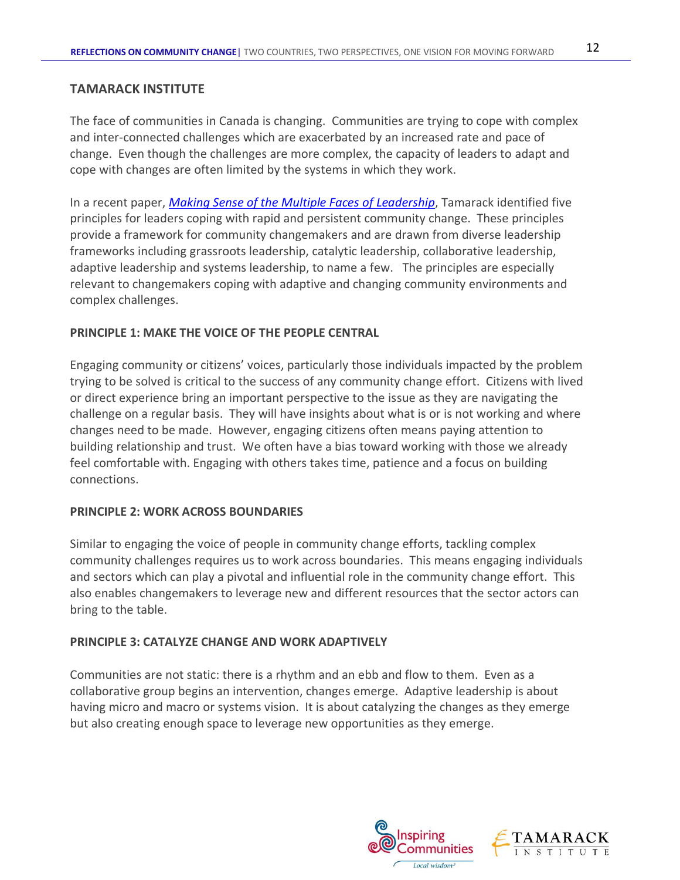#### **TAMARACK INSTITUTE**

The face of communities in Canada is changing. Communities are trying to cope with complex and inter-connected challenges which are exacerbated by an increased rate and pace of change. Even though the challenges are more complex, the capacity of leaders to adapt and cope with changes are often limited by the systems in which they work.

In a recent paper, *[Making Sense of the Multiple Faces of Leadership](https://www.tamarackcommunity.ca/library/making-sense-of-the-multiple-faces-of-leadership)*, Tamarack identified five principles for leaders coping with rapid and persistent community change. These principles provide a framework for community changemakers and are drawn from diverse leadership frameworks including grassroots leadership, catalytic leadership, collaborative leadership, adaptive leadership and systems leadership, to name a few. The principles are especially relevant to changemakers coping with adaptive and changing community environments and complex challenges.

#### **PRINCIPLE 1: MAKE THE VOICE OF THE PEOPLE CENTRAL**

Engaging community or citizens' voices, particularly those individuals impacted by the problem trying to be solved is critical to the success of any community change effort. Citizens with lived or direct experience bring an important perspective to the issue as they are navigating the challenge on a regular basis. They will have insights about what is or is not working and where changes need to be made. However, engaging citizens often means paying attention to building relationship and trust. We often have a bias toward working with those we already feel comfortable with. Engaging with others takes time, patience and a focus on building connections.

#### **PRINCIPLE 2: WORK ACROSS BOUNDARIES**

Similar to engaging the voice of people in community change efforts, tackling complex community challenges requires us to work across boundaries. This means engaging individuals and sectors which can play a pivotal and influential role in the community change effort. This also enables changemakers to leverage new and different resources that the sector actors can bring to the table.

#### **PRINCIPLE 3: CATALYZE CHANGE AND WORK ADAPTIVELY**

Communities are not static: there is a rhythm and an ebb and flow to them. Even as a collaborative group begins an intervention, changes emerge. Adaptive leadership is about having micro and macro or systems vision. It is about catalyzing the changes as they emerge but also creating enough space to leverage new opportunities as they emerge.

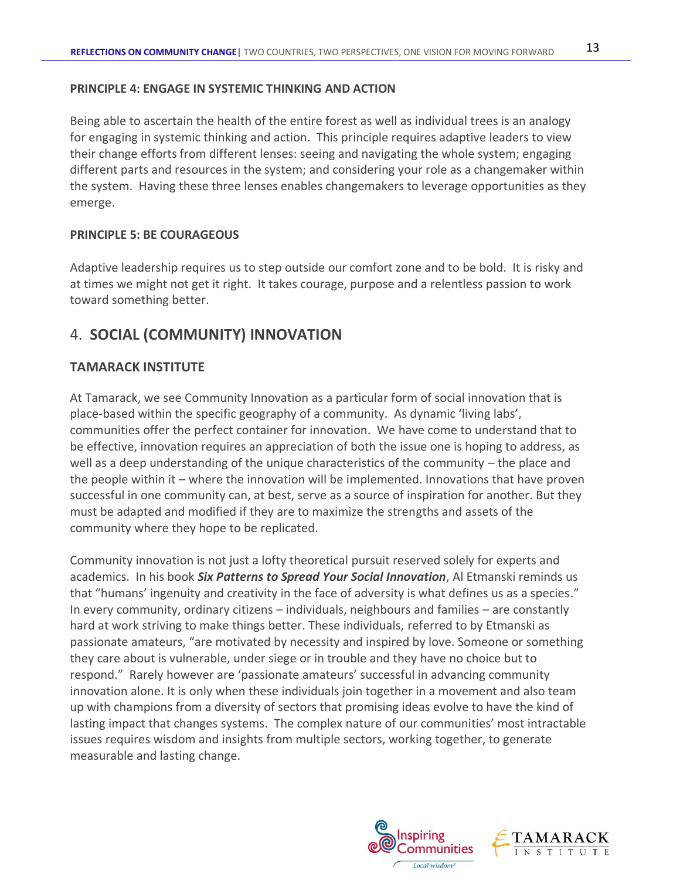#### **PRINCIPLE 4: ENGAGE IN SYSTEMIC THINKING AND ACTION**

Being able to ascertain the health of the entire forest as well as individual trees is an analogy for engaging in systemic thinking and action. This principle requires adaptive leaders to view their change efforts from different lenses: seeing and navigating the whole system; engaging different parts and resources in the system; and considering your role as a changemaker within the system. Having these three lenses enables changemakers to leverage opportunities as they emerge.

#### **PRINCIPLE 5: BE COURAGEOUS**

Adaptive leadership requires us to step outside our comfort zone and to be bold. It is risky and at times we might not get it right. It takes courage, purpose and a relentless passion to work toward something better.

# 4. **SOCIAL (COMMUNITY) INNOVATION**

## **TAMARACK INSTITUTE**

At Tamarack, we see Community Innovation as a particular form of social innovation that is place-based within the specific geography of a community. As dynamic 'living labs', communities offer the perfect container for innovation. We have come to understand that to be effective, innovation requires an appreciation of both the issue one is hoping to address, as well as a deep understanding of the unique characteristics of the community – the place and the people within it – where the innovation will be implemented. Innovations that have proven successful in one community can, at best, serve as a source of inspiration for another. But they must be adapted and modified if they are to maximize the strengths and assets of the community where they hope to be replicated.

Community innovation is not just a lofty theoretical pursuit reserved solely for experts and academics. In his book *Six Patterns to Spread Your Social Innovation*, Al Etmanski reminds us that "humans' ingenuity and creativity in the face of adversity is what defines us as a species." In every community, ordinary citizens – individuals, neighbours and families – are constantly hard at work striving to make things better. These individuals, referred to by Etmanski as passionate amateurs, "are motivated by necessity and inspired by love. Someone or something they care about is vulnerable, under siege or in trouble and they have no choice but to respond." Rarely however are 'passionate amateurs' successful in advancing community innovation alone. It is only when these individuals join together in a movement and also team up with champions from a diversity of sectors that promising ideas evolve to have the kind of lasting impact that changes systems. The complex nature of our communities' most intractable issues requires wisdom and insights from multiple sectors, working together, to generate measurable and lasting change.

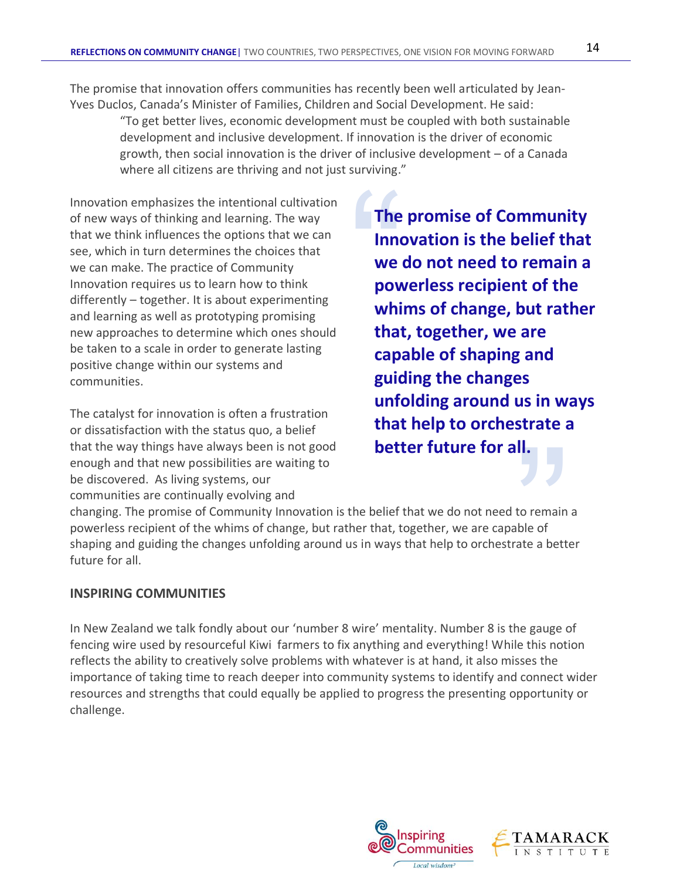The promise that innovation offers communities has recently been well articulated by Jean-Yves Duclos, Canada's Minister of Families, Children and Social Development. He said:

"To get better lives, economic development must be coupled with both sustainable development and inclusive development. If innovation is the driver of economic growth, then social innovation is the driver of inclusive development – of a Canada where all citizens are thriving and not just surviving."

Innovation emphasizes the intentional cultivation of new ways of thinking and learning. The way that we think influences the options that we can see, which in turn determines the choices that we can make. The practice of Community Innovation requires us to learn how to think differently – together. It is about experimenting and learning as well as prototyping promising new approaches to determine which ones should be taken to a scale in order to generate lasting positive change within our systems and communities.

The catalyst for innovation is often a frustration or dissatisfaction with the status quo, a belief that the way things have always been is not good enough and that new possibilities are waiting to be discovered. As living systems, our communities are continually evolving and

The<br>
Inno<br>
we<br>
pow<br>
whi<br>
that **The promise of Community Innovation is the belief that we do not need to remain a powerless recipient of the whims of change, but rather that, together, we are capable of shaping and guiding the changes unfolding around us in ways that help to orchestrate a better future for all.** 

**II.**<br>to remain<br>ble of<br>ate a bette changing. The promise of Community Innovation is the belief that we do not need to remain a powerless recipient of the whims of change, but rather that, together, we are capable of shaping and guiding the changes unfolding around us in ways that help to orchestrate a better future for all.

## **INSPIRING COMMUNITIES**

In New Zealand we talk fondly about our 'number 8 wire' mentality. Number 8 is the gauge of fencing wire used by resourceful Kiwi farmers to fix anything and everything! While this notion reflects the ability to creatively solve problems with whatever is at hand, it also misses the importance of taking time to reach deeper into community systems to identify and connect wider resources and strengths that could equally be applied to progress the presenting opportunity or challenge.

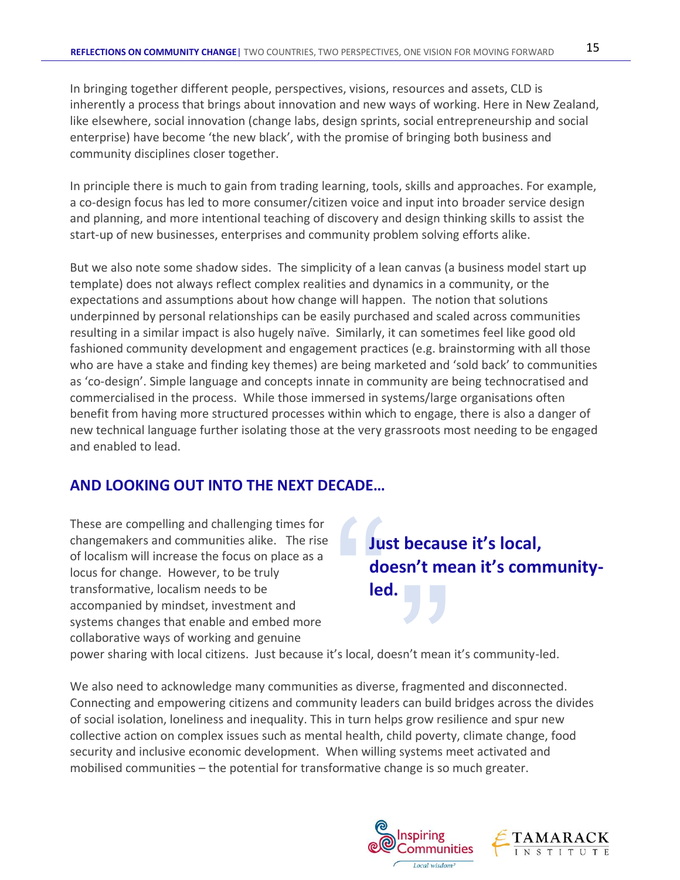In bringing together different people, perspectives, visions, resources and assets, CLD is inherently a process that brings about innovation and new ways of working. Here in New Zealand, like elsewhere, social innovation (change labs, design sprints, social entrepreneurship and social enterprise) have become 'the new black', with the promise of bringing both business and community disciplines closer together.

In principle there is much to gain from trading learning, tools, skills and approaches. For example, a co-design focus has led to more consumer/citizen voice and input into broader service design and planning, and more intentional teaching of discovery and design thinking skills to assist the start-up of new businesses, enterprises and community problem solving efforts alike.

But we also note some shadow sides. The simplicity of a lean canvas (a business model start up template) does not always reflect complex realities and dynamics in a community, or the expectations and assumptions about how change will happen. The notion that solutions underpinned by personal relationships can be easily purchased and scaled across communities resulting in a similar impact is also hugely naïve. Similarly, it can sometimes feel like good old fashioned community development and engagement practices (e.g. brainstorming with all those who are have a stake and finding key themes) are being marketed and 'sold back' to communities as 'co-design'. Simple language and concepts innate in community are being technocratised and commercialised in the process. While those immersed in systems/large organisations often benefit from having more structured processes within which to engage, there is also a danger of new technical language further isolating those at the very grassroots most needing to be engaged and enabled to lead.

# **AND LOOKING OUT INTO THE NEXT DECADE…**

These are compelling and challenging times for changemakers and communities alike. The rise of localism will increase the focus on place as a locus for change. However, to be truly transformative, localism needs to be accompanied by mindset, investment and systems changes that enable and embed more collaborative ways of working and genuine

# Just do lec **Just because it's local, doesn't mean it's communityled.**

power sharing with local citizens. Just because it's local, doesn't mean it's community-led.

**led.**<br>
Socal, doesn't mean<br>
Socal, doesn't mean<br>
Socal, doesn't mean<br>
Socal bealth child poverty We also need to acknowledge many communities as diverse, fragmented and disconnected. Connecting and empowering citizens and community leaders can build bridges across the divides of social isolation, loneliness and inequality. This in turn helps grow resilience and spur new collective action on complex issues such as mental health, child poverty, climate change, food security and inclusive economic development. When willing systems meet activated and mobilised communities – the potential for transformative change is so much greater.

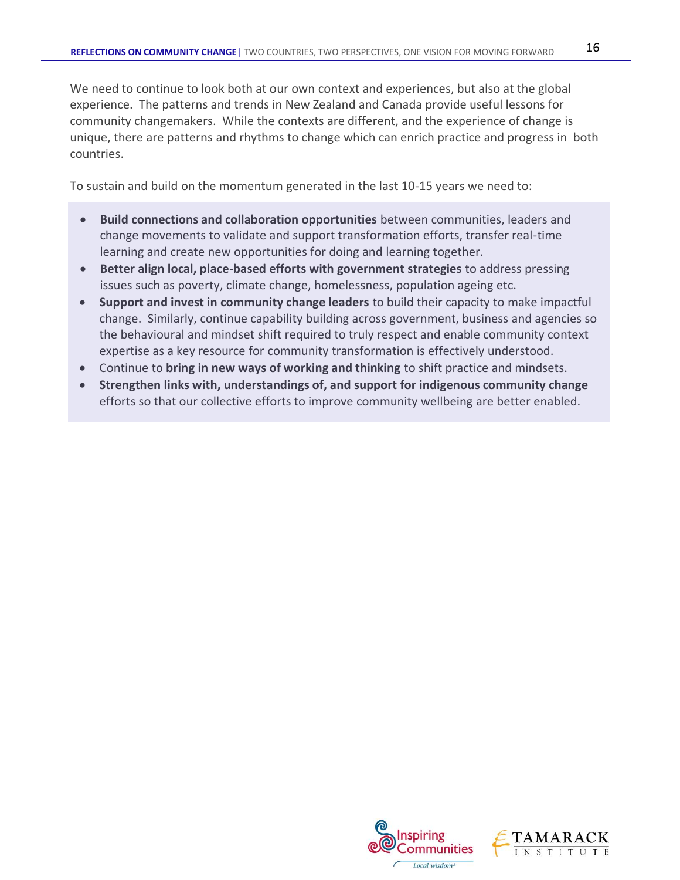We need to continue to look both at our own context and experiences, but also at the global experience. The patterns and trends in New Zealand and Canada provide useful lessons for community changemakers. While the contexts are different, and the experience of change is unique, there are patterns and rhythms to change which can enrich practice and progress in both countries.

To sustain and build on the momentum generated in the last 10-15 years we need to:

- **Build connections and collaboration opportunities** between communities, leaders and change movements to validate and support transformation efforts, transfer real-time learning and create new opportunities for doing and learning together.
- **Better align local, place-based efforts with government strategies** to address pressing issues such as poverty, climate change, homelessness, population ageing etc.
- **Support and invest in community change leaders** to build their capacity to make impactful change. Similarly, continue capability building across government, business and agencies so the behavioural and mindset shift required to truly respect and enable community context expertise as a key resource for community transformation is effectively understood.
- Continue to **bring in new ways of working and thinking** to shift practice and mindsets.
- **Strengthen links with, understandings of, and support for indigenous community change** efforts so that our collective efforts to improve community wellbeing are better enabled.